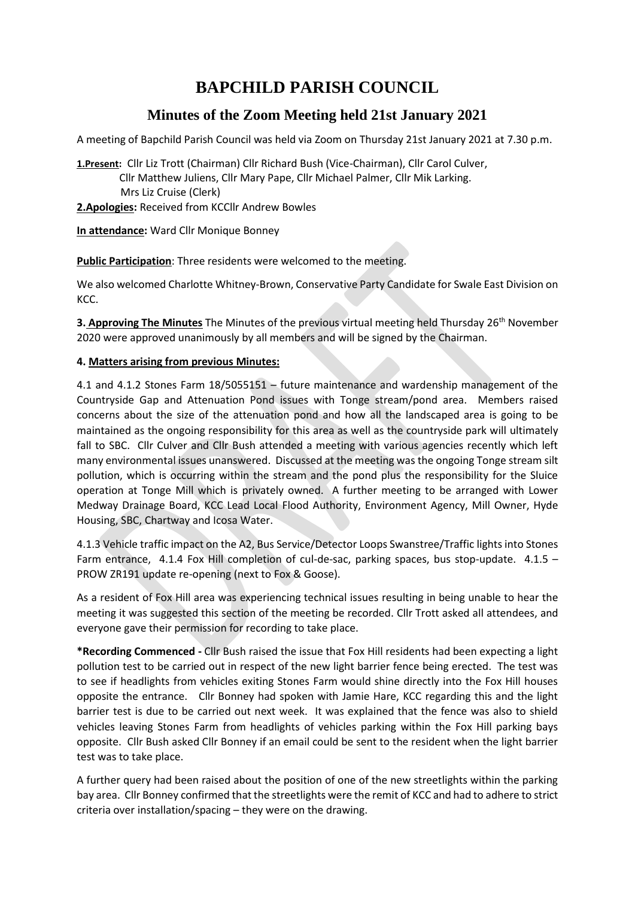# **BAPCHILD PARISH COUNCIL**

# **Minutes of the Zoom Meeting held 21st January 2021**

A meeting of Bapchild Parish Council was held via Zoom on Thursday 21st January 2021 at 7.30 p.m.

**1.Present:** Cllr Liz Trott (Chairman) Cllr Richard Bush (Vice-Chairman), Cllr Carol Culver, Cllr Matthew Juliens, Cllr Mary Pape, Cllr Michael Palmer, Cllr Mik Larking. Mrs Liz Cruise (Clerk)

**2.Apologies:** Received from KCCllr Andrew Bowles

**In attendance:** Ward Cllr Monique Bonney

**Public Participation**: Three residents were welcomed to the meeting.

We also welcomed Charlotte Whitney-Brown, Conservative Party Candidate for Swale East Division on KCC.

**3. Approving The Minutes** The Minutes of the previous virtual meeting held Thursday 26<sup>th</sup> November 2020 were approved unanimously by all members and will be signed by the Chairman.

# **4. Matters arising from previous Minutes:**

4.1 and 4.1.2 Stones Farm 18/5055151 – future maintenance and wardenship management of the Countryside Gap and Attenuation Pond issues with Tonge stream/pond area. Members raised concerns about the size of the attenuation pond and how all the landscaped area is going to be maintained as the ongoing responsibility for this area as well as the countryside park will ultimately fall to SBC. Cllr Culver and Cllr Bush attended a meeting with various agencies recently which left many environmental issues unanswered. Discussed at the meeting was the ongoing Tonge stream silt pollution, which is occurring within the stream and the pond plus the responsibility for the Sluice operation at Tonge Mill which is privately owned. A further meeting to be arranged with Lower Medway Drainage Board, KCC Lead Local Flood Authority, Environment Agency, Mill Owner, Hyde Housing, SBC, Chartway and Icosa Water.

4.1.3 Vehicle traffic impact on the A2, Bus Service/Detector Loops Swanstree/Traffic lights into Stones Farm entrance, 4.1.4 Fox Hill completion of cul-de-sac, parking spaces, bus stop-update. 4.1.5 – PROW ZR191 update re-opening (next to Fox & Goose).

As a resident of Fox Hill area was experiencing technical issues resulting in being unable to hear the meeting it was suggested this section of the meeting be recorded. Cllr Trott asked all attendees, and everyone gave their permission for recording to take place.

**\*Recording Commenced -** Cllr Bush raised the issue that Fox Hill residents had been expecting a light pollution test to be carried out in respect of the new light barrier fence being erected. The test was to see if headlights from vehicles exiting Stones Farm would shine directly into the Fox Hill houses opposite the entrance. Cllr Bonney had spoken with Jamie Hare, KCC regarding this and the light barrier test is due to be carried out next week. It was explained that the fence was also to shield vehicles leaving Stones Farm from headlights of vehicles parking within the Fox Hill parking bays opposite. Cllr Bush asked Cllr Bonney if an email could be sent to the resident when the light barrier test was to take place.

A further query had been raised about the position of one of the new streetlights within the parking bay area. Cllr Bonney confirmed that the streetlights were the remit of KCC and had to adhere to strict criteria over installation/spacing – they were on the drawing.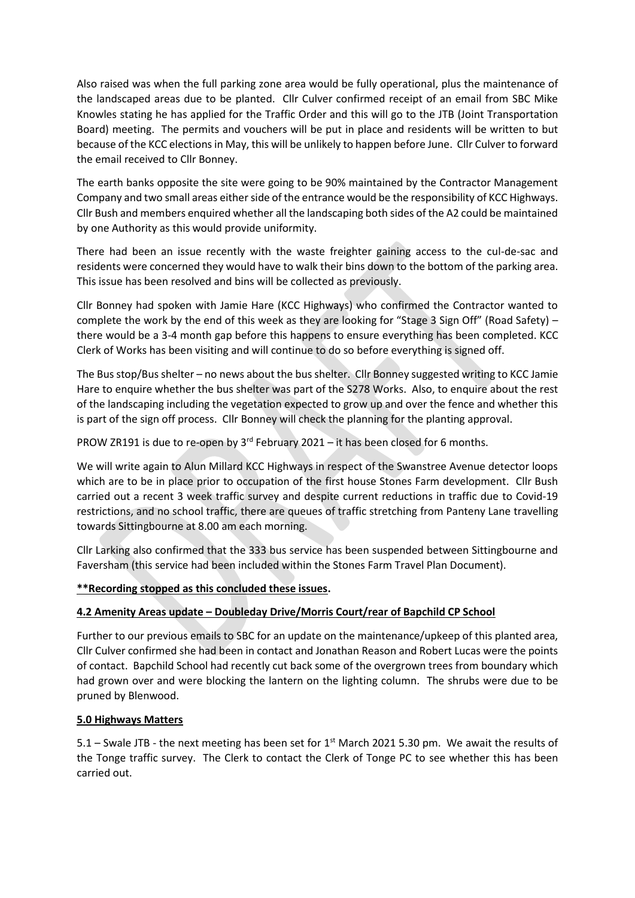Also raised was when the full parking zone area would be fully operational, plus the maintenance of the landscaped areas due to be planted. Cllr Culver confirmed receipt of an email from SBC Mike Knowles stating he has applied for the Traffic Order and this will go to the JTB (Joint Transportation Board) meeting. The permits and vouchers will be put in place and residents will be written to but because of the KCC elections in May, this will be unlikely to happen before June. Cllr Culver to forward the email received to Cllr Bonney.

The earth banks opposite the site were going to be 90% maintained by the Contractor Management Company and two small areas either side of the entrance would be the responsibility of KCC Highways. Cllr Bush and members enquired whether all the landscaping both sides of the A2 could be maintained by one Authority as this would provide uniformity.

There had been an issue recently with the waste freighter gaining access to the cul-de-sac and residents were concerned they would have to walk their bins down to the bottom of the parking area. This issue has been resolved and bins will be collected as previously.

Cllr Bonney had spoken with Jamie Hare (KCC Highways) who confirmed the Contractor wanted to complete the work by the end of this week as they are looking for "Stage 3 Sign Off" (Road Safety) – there would be a 3-4 month gap before this happens to ensure everything has been completed. KCC Clerk of Works has been visiting and will continue to do so before everything is signed off.

The Bus stop/Bus shelter – no news about the bus shelter. Cllr Bonney suggested writing to KCC Jamie Hare to enquire whether the bus shelter was part of the S278 Works. Also, to enquire about the rest of the landscaping including the vegetation expected to grow up and over the fence and whether this is part of the sign off process. Cllr Bonney will check the planning for the planting approval.

PROW ZR191 is due to re-open by  $3^{rd}$  February 2021 – it has been closed for 6 months.

We will write again to Alun Millard KCC Highways in respect of the Swanstree Avenue detector loops which are to be in place prior to occupation of the first house Stones Farm development. Cllr Bush carried out a recent 3 week traffic survey and despite current reductions in traffic due to Covid-19 restrictions, and no school traffic, there are queues of traffic stretching from Panteny Lane travelling towards Sittingbourne at 8.00 am each morning.

Cllr Larking also confirmed that the 333 bus service has been suspended between Sittingbourne and Faversham (this service had been included within the Stones Farm Travel Plan Document).

# **\*\*Recording stopped as this concluded these issues.**

# **4.2 Amenity Areas update – Doubleday Drive/Morris Court/rear of Bapchild CP School**

Further to our previous emails to SBC for an update on the maintenance/upkeep of this planted area, Cllr Culver confirmed she had been in contact and Jonathan Reason and Robert Lucas were the points of contact. Bapchild School had recently cut back some of the overgrown trees from boundary which had grown over and were blocking the lantern on the lighting column. The shrubs were due to be pruned by Blenwood.

#### **5.0 Highways Matters**

5.1 – Swale JTB - the next meeting has been set for  $1<sup>st</sup>$  March 2021 5.30 pm. We await the results of the Tonge traffic survey. The Clerk to contact the Clerk of Tonge PC to see whether this has been carried out.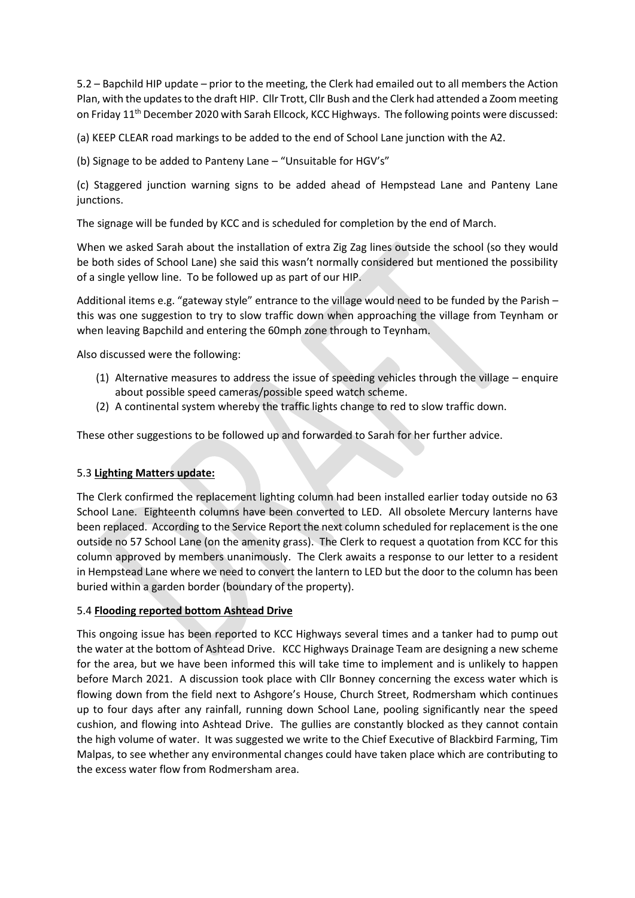5.2 – Bapchild HIP update – prior to the meeting, the Clerk had emailed out to all members the Action Plan, with the updates to the draft HIP. Cllr Trott, Cllr Bush and the Clerk had attended a Zoom meeting on Friday 11<sup>th</sup> December 2020 with Sarah Ellcock, KCC Highways. The following points were discussed:

(a) KEEP CLEAR road markings to be added to the end of School Lane junction with the A2.

(b) Signage to be added to Panteny Lane – "Unsuitable for HGV's"

(c) Staggered junction warning signs to be added ahead of Hempstead Lane and Panteny Lane junctions.

The signage will be funded by KCC and is scheduled for completion by the end of March.

When we asked Sarah about the installation of extra Zig Zag lines outside the school (so they would be both sides of School Lane) she said this wasn't normally considered but mentioned the possibility of a single yellow line. To be followed up as part of our HIP.

Additional items e.g. "gateway style" entrance to the village would need to be funded by the Parish – this was one suggestion to try to slow traffic down when approaching the village from Teynham or when leaving Bapchild and entering the 60mph zone through to Teynham.

Also discussed were the following:

- (1) Alternative measures to address the issue of speeding vehicles through the village enquire about possible speed cameras/possible speed watch scheme.
- (2) A continental system whereby the traffic lights change to red to slow traffic down.

These other suggestions to be followed up and forwarded to Sarah for her further advice.

# 5.3 **Lighting Matters update:**

The Clerk confirmed the replacement lighting column had been installed earlier today outside no 63 School Lane. Eighteenth columns have been converted to LED. All obsolete Mercury lanterns have been replaced. According to the Service Report the next column scheduled for replacement is the one outside no 57 School Lane (on the amenity grass). The Clerk to request a quotation from KCC for this column approved by members unanimously. The Clerk awaits a response to our letter to a resident in Hempstead Lane where we need to convert the lantern to LED but the door to the column has been buried within a garden border (boundary of the property).

# 5.4 **Flooding reported bottom Ashtead Drive**

This ongoing issue has been reported to KCC Highways several times and a tanker had to pump out the water at the bottom of Ashtead Drive. KCC Highways Drainage Team are designing a new scheme for the area, but we have been informed this will take time to implement and is unlikely to happen before March 2021. A discussion took place with Cllr Bonney concerning the excess water which is flowing down from the field next to Ashgore's House, Church Street, Rodmersham which continues up to four days after any rainfall, running down School Lane, pooling significantly near the speed cushion, and flowing into Ashtead Drive. The gullies are constantly blocked as they cannot contain the high volume of water. It was suggested we write to the Chief Executive of Blackbird Farming, Tim Malpas, to see whether any environmental changes could have taken place which are contributing to the excess water flow from Rodmersham area.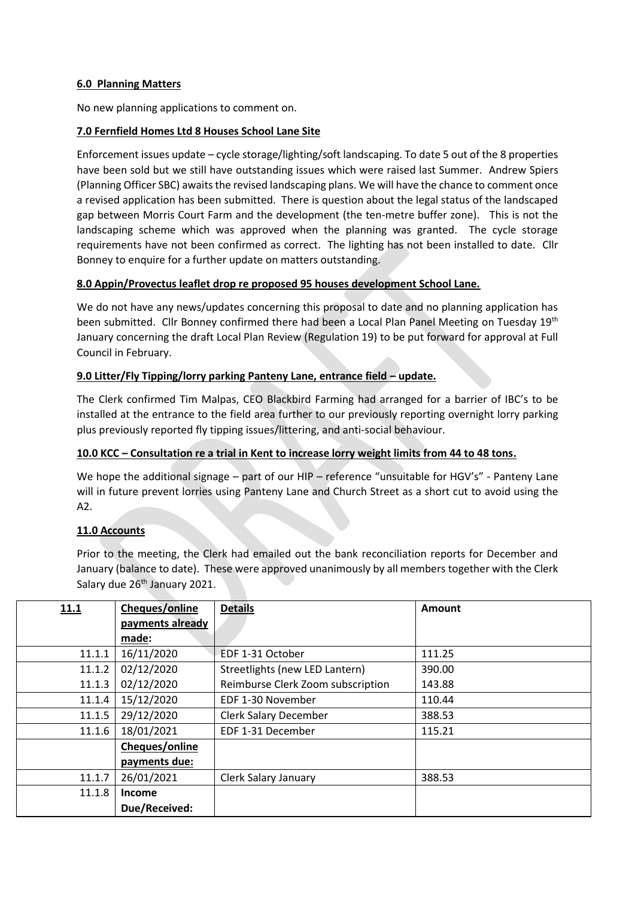#### **6.0 Planning Matters**

No new planning applications to comment on.

#### **7.0 Fernfield Homes Ltd 8 Houses School Lane Site**

Enforcement issues update – cycle storage/lighting/soft landscaping. To date 5 out of the 8 properties have been sold but we still have outstanding issues which were raised last Summer. Andrew Spiers (Planning Officer SBC) awaits the revised landscaping plans. We will have the chance to comment once a revised application has been submitted. There is question about the legal status of the landscaped gap between Morris Court Farm and the development (the ten-metre buffer zone). This is not the landscaping scheme which was approved when the planning was granted. The cycle storage requirements have not been confirmed as correct. The lighting has not been installed to date. Cllr Bonney to enquire for a further update on matters outstanding.

#### **8.0 Appin/Provectus leaflet drop re proposed 95 houses development School Lane.**

We do not have any news/updates concerning this proposal to date and no planning application has been submitted. Cllr Bonney confirmed there had been a Local Plan Panel Meeting on Tuesday 19th January concerning the draft Local Plan Review (Regulation 19) to be put forward for approval at Full Council in February.

#### **9.0 Litter/Fly Tipping/lorry parking Panteny Lane, entrance field – update.**

The Clerk confirmed Tim Malpas, CEO Blackbird Farming had arranged for a barrier of IBC's to be installed at the entrance to the field area further to our previously reporting overnight lorry parking plus previously reported fly tipping issues/littering, and anti-social behaviour.

#### **10.0 KCC – Consultation re a trial in Kent to increase lorry weight limits from 44 to 48 tons.**

We hope the additional signage – part of our HIP – reference "unsuitable for HGV's" - Panteny Lane will in future prevent lorries using Panteny Lane and Church Street as a short cut to avoid using the A2.

# **11.0 Accounts**

Prior to the meeting, the Clerk had emailed out the bank reconciliation reports for December and January (balance to date). These were approved unanimously by all members together with the Clerk Salary due 26<sup>th</sup> January 2021.

| 11.1   | Cheques/online   | <b>Details</b>                    | Amount |
|--------|------------------|-----------------------------------|--------|
|        | payments already |                                   |        |
|        | made:            |                                   |        |
| 11.1.1 | 16/11/2020       | EDF 1-31 October                  | 111.25 |
| 11.1.2 | 02/12/2020       | Streetlights (new LED Lantern)    | 390.00 |
| 11.1.3 | 02/12/2020       | Reimburse Clerk Zoom subscription | 143.88 |
| 11.1.4 | 15/12/2020       | EDF 1-30 November                 | 110.44 |
| 11.1.5 | 29/12/2020       | <b>Clerk Salary December</b>      | 388.53 |
| 11.1.6 | 18/01/2021       | EDF 1-31 December                 | 115.21 |
|        | Cheques/online   |                                   |        |
|        | payments due:    |                                   |        |
| 11.1.7 | 26/01/2021       | Clerk Salary January              | 388.53 |
| 11.1.8 | <b>Income</b>    |                                   |        |
|        | Due/Received:    |                                   |        |